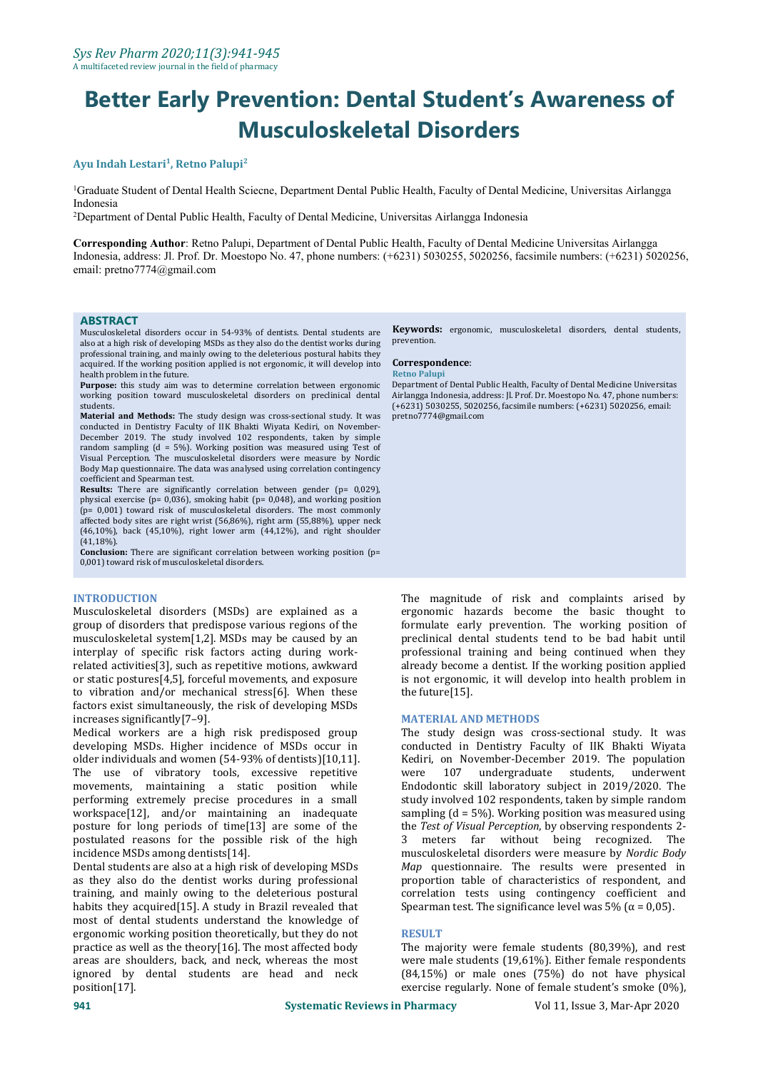# **Better Early Prevention: Dental Student's Awareness of Musculoskeletal Disorders**

# $A$ yu Indah Lestari<sup>1</sup>, Retno Palupi<sup>2</sup>

<sup>1</sup>Graduate Student of Dental Health Sciecne, Department Dental Public Health, Faculty of Dental Medicine, Universitas Airlangga Indonesia

<sup>2</sup>Department of Dental Public Health, Faculty of Dental Medicine, Universitas Airlangga Indonesia

**Corresponding Author**: Retno Palupi, Department of Dental Public Health, Faculty of Dental Medicine Universitas Airlangga Indonesia, address: Jl. Prof. Dr. Moestopo No. 47, phone numbers: (+6231) 5030255, 5020256, facsimile numbers: (+6231) 5020256, email: pretno7774@gmail.com

### **ABSTRACT**

Musculoskeletal disorders occur in 54-93% of dentists. Dental students are also at a high risk of developing MSDs as they also do the dentist works during professional training, and mainly owing to the deleterious postural habits they acquired. If the working position applied is not ergonomic, it will develop into **Correspond**<br>health problem in the future.

Purpose: this study aim was to determine correlation between ergonomic Department of Dental Public Health, Faculty of Dental Medicine Universitas working position toward musculoskeletal disorders on preclinical dental Airl working position toward musculoskeletal disorders on preclinical dental

Material and Methods: The study design was cross-sectional study. It was conducted in Dentistry Faculty of IIK Bhakti Wiyata Kediri, on November- December 2019. The study involved 102 respondents, taken by simple random sampling (d = 5%). Working position was measured using Test of Visual Perception. The musculoskeletal disorders were measure by Nordic Body Map questionnaire. The data was analysed using correlation contingency

**Results:** There are significantly correlation between gender (p= 0,029), physical exercise (p= 0,036), smoking habit (p= 0,048), and working position (p= 0,001) toward risk of musculoskeletal disorders. The most commonly affected body sites are right wrist (56,86%), right arm (55,88%), upper neck  $(46,10\%)$ , back  $(45,10\%)$ , right lower arm  $(44,12\%)$ , and right shoulder  $(41.18\%)$ .

Conclusion: There are significant correlation between working position (p= 0,001) toward risk of musculoskeletal disorders.

### **INTRODUCTION**

Musculoskeletal disorders (MSDs) are explained as a group of disorders that predispose various regions of the musculoskeletal system[1,2]. MSDs may be caused by an interplay of specific risk factors acting during work related activities[3], such as repetitive motions, awkward or static postures[4,5], forceful movements, and exposure to vibration and/or mechanical stress[6]. When these factors exist simultaneously, the risk of developing MSDs increases significantly[7–9].

Medical workers are a high risk predisposed group developing MSDs. Higher incidence of MSDs occur in older individuals and women (54-93% of dentists)[10,11]. Kediri, on N<br>The use of vibratory tools. excessive repetitive were 107 The use of vibratory tools, excessive repetitive movements, maintaining a static position while performing extremely precise procedures in a small workspace[12], and/or maintaining an inadequate posture for long periods of time[13] are some of the postulated reasons for the possible risk of the high incidence MSDs among dentists[14].

Dental students are also at a high risk of developing MSDs as they also do the dentist works during professional training, and mainly owing to the deleterious postural habits they acquired[15]. A study in Brazil revealed that most of dental students understand the knowledge of ergonomic working position theoretically, but they do not practice as well as the theory[16]. The most affected body areas are shoulders, back, and neck, whereas the most ignored by dental students are head and neck position[17].

**Keywords:** ergonomic, musculoskeletal disorders, dental students, prevention.

## $Correspondence:$

Department of Dental Public Health, Faculty of Dental Medicine Universitas (+6231) 5030255, 5020256, facsimile numbers: (+6231) 5020256, email: pretno7774@gmail.com

The magnitude of risk and complaints arised by ergonomic hazards become the basic thought to formulate early prevention. The working position of preclinical dental students tend to be bad habit until professional training and being continued when they already become a dentist. If the working position applied is not ergonomic, it will develop into health problem in the future[15].

### **MATERIAL AND METHODS**

The study design was cross-sectional study. It was conducted in Dentistry Faculty of IIK Bhakti Wiyata Kediri, on November-December 2019. The population students, underwent Endodontic skill laboratory subject in 2019/2020. The study involved 102 respondents, taken by simple random sampling  $(d = 5\%)$ . Working position was measured using the *Test of Visual Perception*, by observing respondents 2- 3 meters far without being recognized. The musculoskeletal disorders were measure by *Nordic Body Map* questionnaire. The results were presented in proportion table of characteristics of respondent, and correlation tests using contingency coefficient and Spearman test. The significance level was 5% ( $\alpha$  = 0,05).

### **RESULT**

The majority were female students (80,39%), and rest were male students (19,61%). Either female respondents (84,15%) or male ones (75%) do not have physical exercise regularly. None of female student's smoke (0%),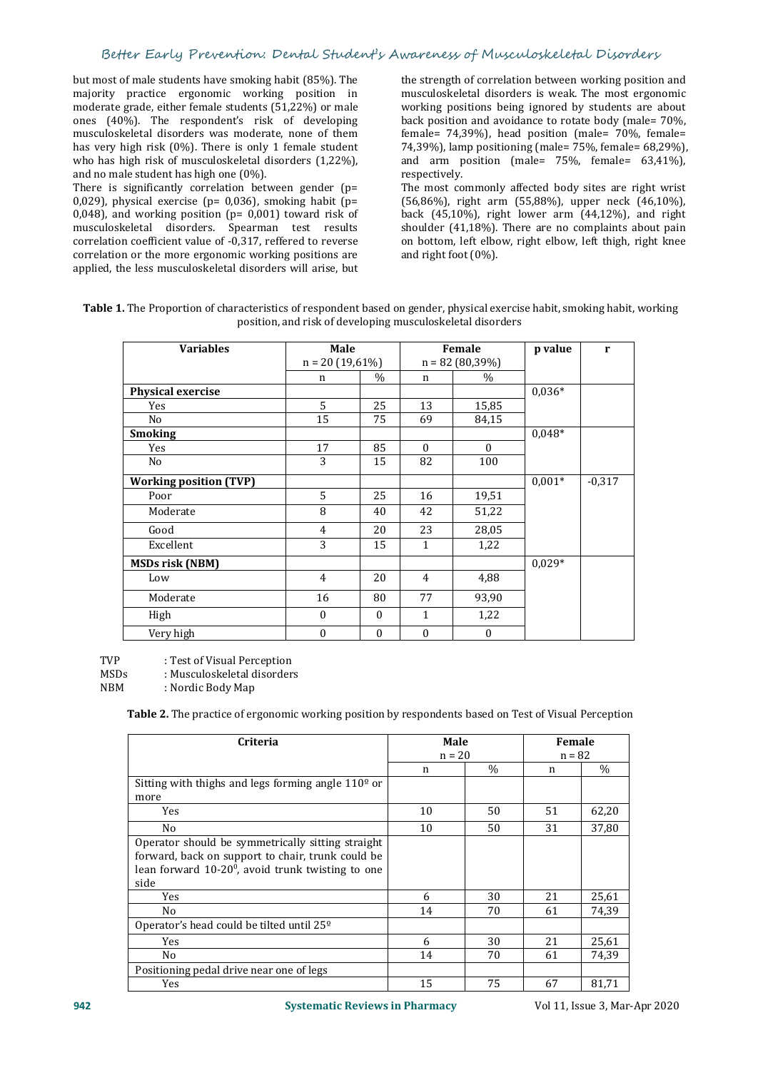but most of male students have smoking habit (85%). The majority practice ergonomic working position in moderate grade, either female students (51,22%) or male ones (40%). The respondent's risk of developing musculoskeletal disorders was moderate, none of them has very high risk (0%). There is only 1 female student who has high risk of musculoskeletal disorders (1,22%), and no male student has high one (0%).

There is significantly correlation between gender (p= 0,029), physical exercise (p= 0,036), smoking habit (p= 0,048), and working position ( $p=$  0,001) toward risk of musculoskeletal disorders. Spearman test results correlation coefficient value of -0,317, reffered to reverse correlation or the more ergonomic working positions are applied, the less musculoskeletal disorders will arise, but the strength of correlation between working position and musculoskeletal disorders is weak. The most ergonomic working positions being ignored by students are about back position and avoidance to rotate body (male= 70%, female= 74,39%), head position (male= 70%, female= 74,39%), lamp positioning (male= 75%, female= 68,29%), and arm position (male= 75%, female= 63,41%), respectively.

The most commonly affected body sites are right wrist (56,86%), right arm (55,88%), upper neck (46,10%), back (45,10%), right lower arm (44,12%), and right shoulder (41,18%). There are no complaints about pain on bottom, left elbow, right elbow, left thigh, right knee and right foot (0%).

| Table 1. The Proportion of characteristics of respondent based on gender, physical exercise habit, smoking habit, working |
|---------------------------------------------------------------------------------------------------------------------------|
| position, and risk of developing musculoskeletal disorders                                                                |

| <b>Variables</b>              | Male              |               |                | Female            | p value  | r        |
|-------------------------------|-------------------|---------------|----------------|-------------------|----------|----------|
|                               | $n = 20(19,61\%)$ |               |                | $n = 82(80,39\%)$ |          |          |
|                               | $\mathbf n$       | $\frac{0}{0}$ | n              | $\%$              |          |          |
| Physical exercise             |                   |               |                |                   | $0,036*$ |          |
| Yes                           | 5                 | 25            | 13             | 15,85             |          |          |
| No                            | 15                | 75            | 69             | 84,15             |          |          |
| <b>Smoking</b>                |                   |               |                |                   | $0,048*$ |          |
| Yes                           | 17                | 85            | $\Omega$       | $\theta$          |          |          |
| No                            | 3                 | 15            | 82             | 100               |          |          |
| <b>Working position (TVP)</b> |                   |               |                |                   | $0,001*$ | $-0,317$ |
| Poor                          | 5                 | 25            | 16             | 19,51             |          |          |
| Moderate                      | 8                 | 40            | 42             | 51,22             |          |          |
| Good                          | 4                 | 20            | 23             | 28,05             |          |          |
| Excellent                     | 3                 | 15            | $\mathbf{1}$   | 1,22              |          |          |
| <b>MSDs risk (NBM)</b>        |                   |               |                |                   | $0,029*$ |          |
| Low                           | $\overline{4}$    | 20            | $\overline{4}$ | 4,88              |          |          |
| Moderate                      | 16                | 80            | 77             | 93,90             |          |          |
| High                          | $\mathbf{0}$      | $\theta$      | $\mathbf{1}$   | 1,22              |          |          |
| Very high                     | $\boldsymbol{0}$  | $\mathbf{0}$  | $\mathbf{0}$   | $\mathbf{0}$      |          |          |

TVP : Test of Visual Perception<br>MSDs : Musculoskeletal disorder

MSDs : Musculoskeletal disorders<br>
NBM : Nordic Body Map

: Nordic Body Map

**Table 2.** The practice of ergonomic working position by respondents based on Test of Visual Perception

| Criteria                                                       | Male<br>$n = 20$ |      | Female<br>$n = 82$ |       |  |
|----------------------------------------------------------------|------------------|------|--------------------|-------|--|
|                                                                | n                | $\%$ | n                  | $\%$  |  |
| Sitting with thighs and legs forming angle 110 <sup>o</sup> or |                  |      |                    |       |  |
| more                                                           |                  |      |                    |       |  |
| Yes                                                            | 10               | 50   | 51                 | 62,20 |  |
| No                                                             | 10               | 50   | 31                 | 37,80 |  |
| Operator should be symmetrically sitting straight              |                  |      |                    |       |  |
| forward, back on support to chair, trunk could be              |                  |      |                    |       |  |
| lean forward $10-20^0$ , avoid trunk twisting to one           |                  |      |                    |       |  |
| side                                                           |                  |      |                    |       |  |
| Yes                                                            | 6                | 30   | 21                 | 25,61 |  |
| No                                                             | 14               | 70   | 61                 | 74,39 |  |
| Operator's head could be tilted until 25 <sup>o</sup>          |                  |      |                    |       |  |
| Yes                                                            | 6                | 30   | 21                 | 25,61 |  |
| No                                                             | 14               | 70   | 61                 | 74,39 |  |
| Positioning pedal drive near one of legs                       |                  |      |                    |       |  |
| Yes                                                            | 15               | 75   | 67                 | 81,71 |  |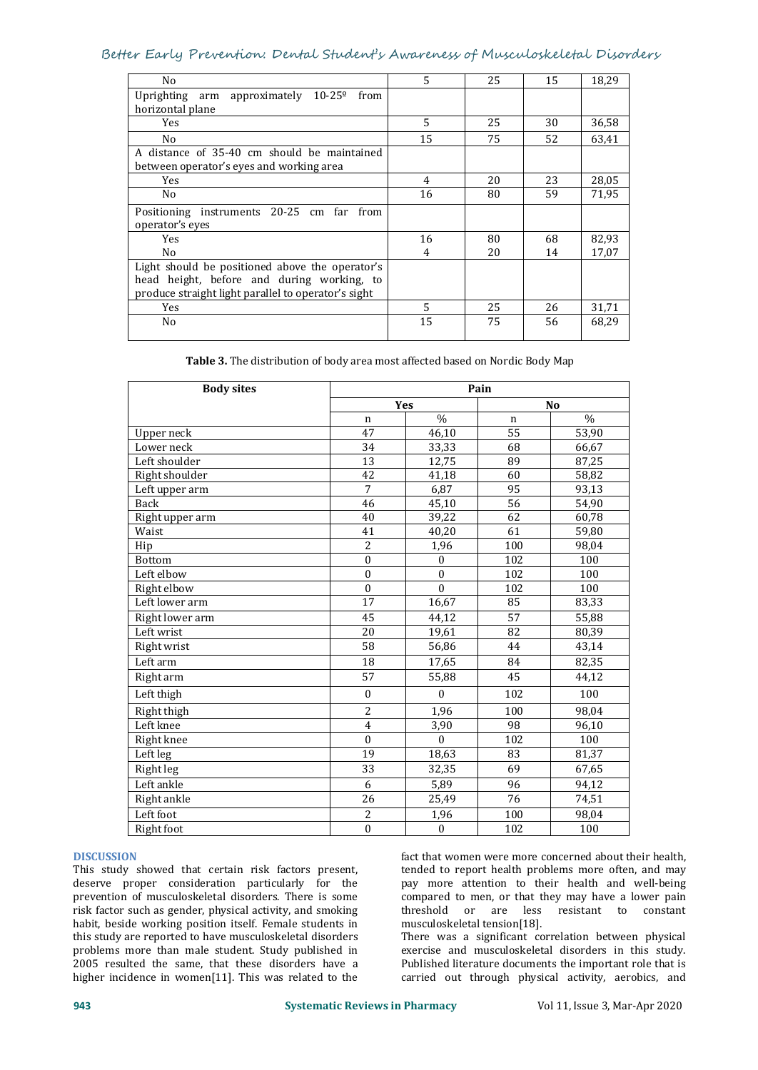# Better Early Prevention: Dental Student's Awareness of Musculoskeletal Disorders

| No                                                   | 5  | 25 | 15 | 18,29 |
|------------------------------------------------------|----|----|----|-------|
| approximately $10-25^{\circ}$ from<br>Uprighting arm |    |    |    |       |
| horizontal plane                                     |    |    |    |       |
| Yes                                                  | 5  | 25 | 30 | 36,58 |
| N <sub>0</sub>                                       | 15 | 75 | 52 | 63,41 |
| A distance of 35-40 cm should be maintained          |    |    |    |       |
| between operator's eyes and working area             |    |    |    |       |
| Yes                                                  | 4  | 20 | 23 | 28,05 |
| No                                                   | 16 | 80 | 59 | 71,95 |
| Positioning instruments 20-25 cm far from            |    |    |    |       |
| operator's eyes                                      |    |    |    |       |
| <b>Yes</b>                                           | 16 | 80 | 68 | 82,93 |
| No                                                   | 4  | 20 | 14 | 17,07 |
| Light should be positioned above the operator's      |    |    |    |       |
| head height, before and during working, to           |    |    |    |       |
| produce straight light parallel to operator's sight  |    |    |    |       |
| Yes                                                  | 5  | 25 | 26 | 31,71 |
| No                                                   | 15 | 75 | 56 | 68,29 |
|                                                      |    |    |    |       |

**Table 3.** The distribution of body area most affected based on Nordic Body Map

| <b>Body sites</b> | Pain             |              |                 |       |
|-------------------|------------------|--------------|-----------------|-------|
|                   |                  | <b>Yes</b>   |                 | No    |
|                   | $\mathbf n$      | $\%$         | $\mathbf n$     | $\%$  |
| Upper neck        | 47               | 46,10        | 55              | 53,90 |
| Lower neck        | 34               | 33,33        | 68              | 66,67 |
| Left shoulder     | 13               | 12,75        | 89              | 87,25 |
| Right shoulder    | 42               | 41,18        | 60              | 58,82 |
| Left upper arm    | $\overline{7}$   | 6,87         | 95              | 93,13 |
| Back              | 46               | 45,10        | 56              | 54,90 |
| Right upper arm   | 40               | 39,22        | 62              | 60,78 |
| Waist             | 41               | 40,20        | 61              | 59,80 |
| Hip               | $\overline{c}$   | 1,96         | 100             | 98,04 |
| Bottom            | $\mathbf{0}$     | $\mathbf{0}$ | 102             | 100   |
| Left elbow        | $\bf{0}$         | $\mathbf{0}$ | 102             | 100   |
| Right elbow       | $\boldsymbol{0}$ | $\mathbf{0}$ | 102             | 100   |
| Left lower arm    | $\overline{17}$  | 16,67        | 85              | 83,33 |
| Right lower arm   | 45               | 44,12        | $\overline{57}$ | 55,88 |
| Left wrist        | 20               | 19,61        | 82              | 80,39 |
| Right wrist       | $\overline{58}$  | 56,86        | 44              | 43,14 |
| Left arm          | 18               | 17,65        | 84              | 82,35 |
| Right arm         | 57               | 55,88        | 45              | 44,12 |
| Left thigh        | $\bf{0}$         | $\mathbf{0}$ | 102             | 100   |
| Right thigh       | $\overline{c}$   | 1,96         | 100             | 98,04 |
| Left knee         | 4                | 3,90         | 98              | 96,10 |
| Right knee        | $\boldsymbol{0}$ | $\Omega$     | 102             | 100   |
| Left leg          | 19               | 18,63        | 83              | 81,37 |
| Right leg         | 33               | 32,35        | 69              | 67,65 |
| Left ankle        | 6                | 5,89         | 96              | 94,12 |
| Right ankle       | 26               | 25,49        | 76              | 74,51 |
| Left foot         | $\overline{c}$   | 1,96         | 100             | 98,04 |
| Right foot        | $\boldsymbol{0}$ | $\mathbf{0}$ | 102             | 100   |

### **DISCUSSION**

This study showed that certain risk factors present, deserve proper consideration particularly for the prevention of musculoskeletal disorders. There is some compared<br>risk factor such as gender, physical activity, and smoking threshold risk factor such as gender, physical activity, and smoking habit, beside working position itself. Female students in this study are reported to have musculoskeletal disorders problems more than male student. Study published in 2005 resulted the same, that these disorders have a higher incidence in women[11]. This was related to the

fact that women were more concerned about their health, tended to report health problems more often, and may pay more attention to their health and well-being compared to men, or that they may have a lower pain<br>threshold or are less resistant to constant or are less musculoskeletal tension[18].

There was a significant correlation between physical exercise and musculoskeletal disorders in this study. Published literature documents the important role that is carried out through physical activity, aerobics, and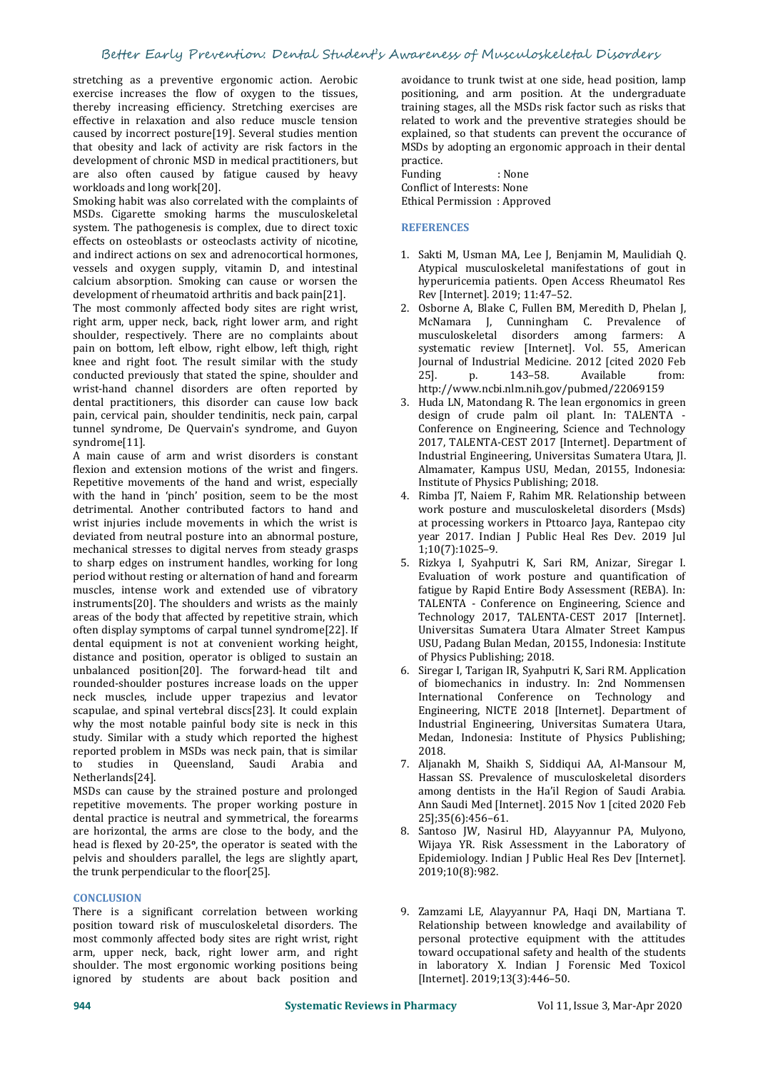# Better Early Prevention: Dental Student's Awareness of Musculoskeletal Disorders

stretching as a preventive ergonomic action. Aerobic exercise increases the flow of oxygen to the tissues, thereby increasing efficiency. Stretching exercises are effective in relaxation and also reduce muscle tension caused by incorrect posture[19]. Several studies mention that obesity and lack of activity are risk factors in the development of chronic MSD in medical practitioners, but are also often caused by fatigue caused by heavy workloads and long work[20].

Smoking habit was also correlated with the complaints of MSDs. Cigarette smoking harms the musculoskeletal system. The pathogenesis is complex, due to direct toxic effects on osteoblasts or osteoclasts activity of nicotine, and indirect actions on sex and adrenocortical hormones, vessels and oxygen supply, vitamin D, and intestinal calcium absorption. Smoking can cause or worsen the development of rheumatoid arthritis and back pain[21].<br>The most commonly affected body sites are right wrist,

The most commonly affected body sites are most complaints about the musculoskeletal shoulder, respectively. There are no complaints about the musculoskeletal shoulder, respectively. There are no complaints about pain on bottom, left elbow, right elbow, left thigh, right knee and right foot. The result similar with the study [Journ conducted previously that stated the spine shoulder and  $251$ . conducted previously that stated the spine, shoulder and wrist-hand channel disorders are often reported by dental practitioners, this disorder can cause low back pain, cervical pain, shoulder tendinitis, neck pain, carpal tunnel syndrome, De Quervain's syndrome, and Guyon syndrome[11].

A main cause of arm and wrist disorders is constant flexion and extension motions of the wrist and fingers. Repetitive movements of the hand and wrist, especially with the hand in 'pinch' position, seem to be the most detrimental. Another contributed factors to hand and wrist injuries include movements in which the wrist is deviated from neutral posture into an abnormal posture, mechanical stresses to digital nerves from steady grasps to sharp edges on instrument handles, working for long period without resting or alternation of hand and forearm muscles, intense work and extended use of vibratory instruments[20]. The shoulders and wrists as the mainly areas of the body that affected by repetitive strain, which often display symptoms of carpal tunnel syndrome[22]. If dental equipment is not at convenient working height, distance and position, operator is obliged to sustain an<br>unbalanced position[20]. The forward-head tilt and 6. unbalanced position[20]. The forward-head tilt and rounded-shoulder postures increase loads on the upper neck muscles, include upper trapezius and levator scapulae, and spinal vertebral discs[23]. It could explain why the most notable painful body site is neck in this study. Similar with a study which reported the highest **Medan**<br>reported problem in MSDs was neck pain that is similar **1998** 2018 reported problem in MSDs was neck pain, that is similar<br>to studies in Queensland Saudi Arabia and to studies in Queensland, Saudi Arabia Netherlands[24].

MSDs can cause by the strained posture and prolonged repetitive movements. The proper working posture in dental practice is neutral and symmetrical, the forearms are horizontal, the arms are close to the body, and the head is flexed by 20-25°, the operator is seated with the **the state of the state of the state** Wijaya Y pelvis and shoulders parallel, the legs are slightly apart, the trunk perpendicular to the floor[25].

### **CONCLUSION**

There is a significant correlation between working position toward risk of musculoskeletal disorders. The most commonly affected body sites are right wrist, right arm, upper neck, back, right lower arm, and right shoulder. The most ergonomic working positions being ignored by students are about back position and

avoidance to trunk twist at one side, head position, lamp positioning, and arm position. At the undergraduate training stages, all the MSDs risk factor such as risks that related to work and the preventive strategies should be explained, so that students can prevent the occurance of MSDs by adopting an ergonomic approach in their dental practice.

Funding : None Conflict of Interests: None Ethical Permission : Approved

#### **REFERENCES**

- 1. Sakti M, Usman MA, Lee J, Benjamin M, Maulidiah Q. Atypical musculoskeletal manifestations of gout in hyperuricemia patients. Open Access Rheumatol Res Rev [Internet]. 2019; 11:47–52.
- 2. Osborne A, Blake C, Fullen BM, Meredith D, Phelan J, McNamara L, Cunningham C, Prevalence of J, Cunningham C. Prevalence of<br>letal disorders among farmers: A musculoskeletal disorders among farmers: A systematic review [Internet]. Vol. 55, American Journal of Industrial Medicine. 2012 [cited 2020 Feb 25]. p. 143–58. Available from: http://www.ncbi.nlm.nih.gov/pubmed/22069159
- 3. Huda LN, Matondang R. The lean ergonomics in green design of crude palm oil plant. In: TALENTA - Conference on Engineering, Science and Technology 2017, TALENTA-CEST 2017 [Internet]. Department of Industrial Engineering, Universitas Sumatera Utara, Jl. Almamater, Kampus USU, Medan, 20155, Indonesia: Institute of Physics Publishing; 2018.
- 4. Rimba JT, Naiem F, Rahim MR. Relationship between work posture and musculoskeletal disorders (Msds) at processing workers in Pttoarco Jaya, Rantepao city year 2017. Indian J Public Heal Res Dev. 2019 Jul 1;10(7):1025–9.
- 5. Rizkya I, Syahputri K, Sari RM, Anizar, Siregar I. Evaluation of work posture and quantification of fatigue by Rapid Entire Body Assessment (REBA). In: TALENTA - Conference on Engineering, Science and Technology 2017, TALENTA-CEST 2017 [Internet]. Universitas Sumatera Utara Almater Street Kampus USU, Padang Bulan Medan, 20155, Indonesia: Institute of Physics Publishing; 2018.
- 6. Siregar I, Tarigan IR, Syahputri K, Sari RM. Application of biomechanics in industry. In: 2nd Nommensen International Conference on Technology and Engineering, NICTE 2018 [Internet]. Department of Industrial Engineering, Universitas Sumatera Utara, Medan, Indonesia: Institute of Physics Publishing; 2018.
- 7. Aljanakh M, Shaikh S, Siddiqui AA, Al-Mansour M, Hassan SS. Prevalence of musculoskeletal disorders among dentists in the Ha'il Region of Saudi Arabia. Ann Saudi Med [Internet]. 2015 Nov 1 [cited 2020 Feb 25];35(6):456–61.
- 8. Santoso JW, Nasirul HD, Alayyannur PA, Mulyono, Wijaya YR. Risk Assessment in the Laboratory of Epidemiology. Indian J Public Heal Res Dev [Internet]. 2019;10(8):982.
- 9. Zamzami LE, Alayyannur PA, Haqi DN, Martiana T. Relationship between knowledge and availability of personal protective equipment with the attitudes toward occupational safety and health of the students in laboratory X. Indian J Forensic Med Toxicol [Internet]. 2019;13(3):446-50.